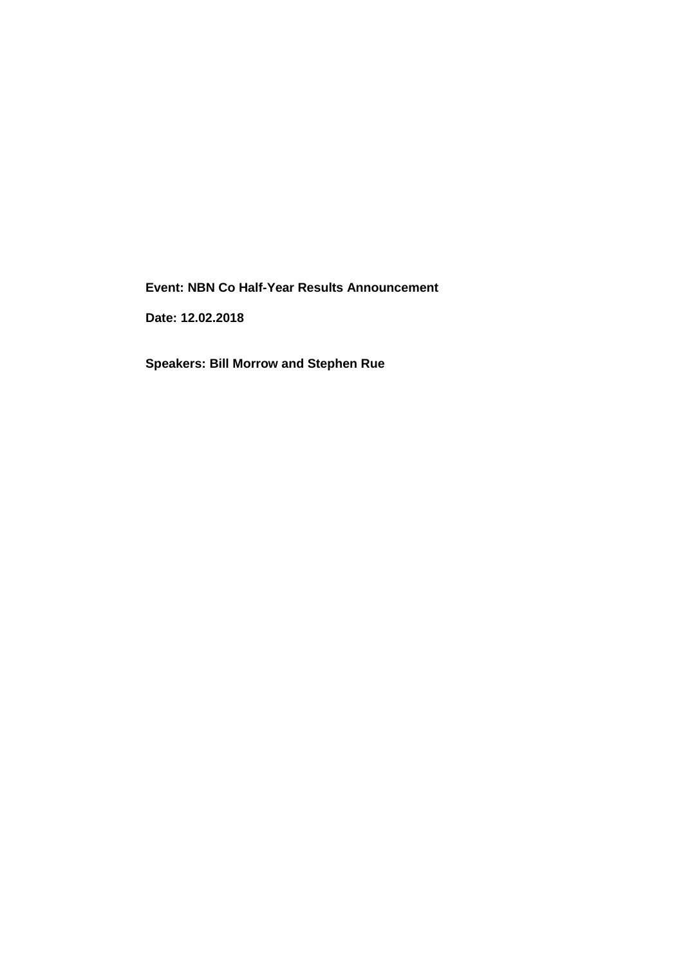**Event: NBN Co Half-Year Results Announcement**

**Date: 12.02.2018**

**Speakers: Bill Morrow and Stephen Rue**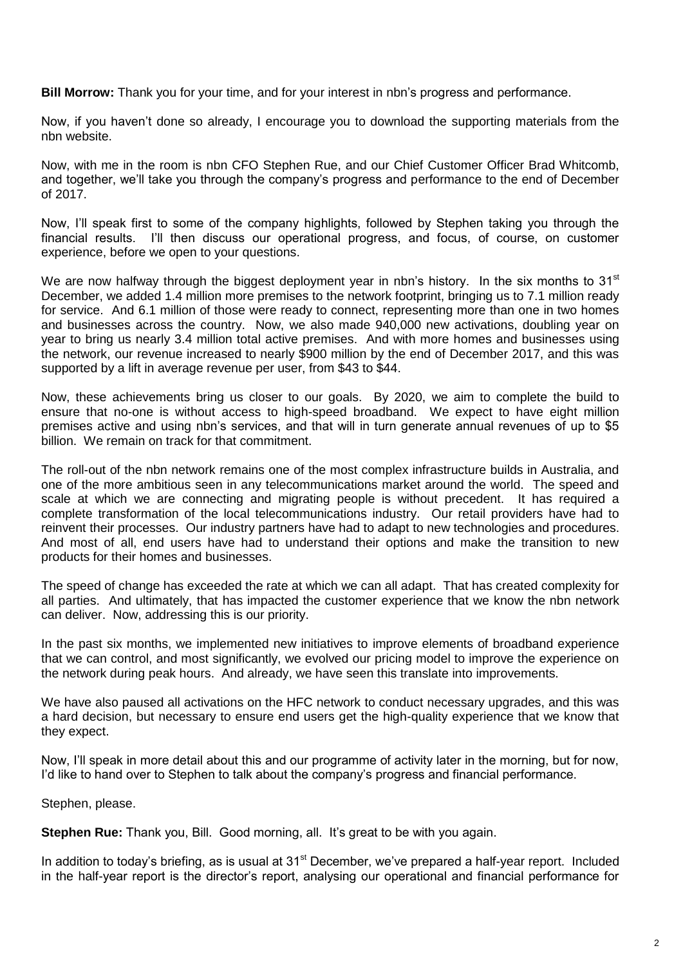**Bill Morrow:** Thank you for your time, and for your interest in nbn's progress and performance.

Now, if you haven't done so already, I encourage you to download the supporting materials from the nbn website.

Now, with me in the room is nbn CFO Stephen Rue, and our Chief Customer Officer Brad Whitcomb, and together, we'll take you through the company's progress and performance to the end of December of 2017.

Now, I'll speak first to some of the company highlights, followed by Stephen taking you through the financial results. I'll then discuss our operational progress, and focus, of course, on customer experience, before we open to your questions.

We are now halfway through the biggest deployment year in nbn's history. In the six months to 31<sup>st</sup> December, we added 1.4 million more premises to the network footprint, bringing us to 7.1 million ready for service. And 6.1 million of those were ready to connect, representing more than one in two homes and businesses across the country. Now, we also made 940,000 new activations, doubling year on year to bring us nearly 3.4 million total active premises. And with more homes and businesses using the network, our revenue increased to nearly \$900 million by the end of December 2017, and this was supported by a lift in average revenue per user, from \$43 to \$44.

Now, these achievements bring us closer to our goals. By 2020, we aim to complete the build to ensure that no-one is without access to high-speed broadband. We expect to have eight million premises active and using nbn's services, and that will in turn generate annual revenues of up to \$5 billion. We remain on track for that commitment.

The roll-out of the nbn network remains one of the most complex infrastructure builds in Australia, and one of the more ambitious seen in any telecommunications market around the world. The speed and scale at which we are connecting and migrating people is without precedent. It has required a complete transformation of the local telecommunications industry. Our retail providers have had to reinvent their processes. Our industry partners have had to adapt to new technologies and procedures. And most of all, end users have had to understand their options and make the transition to new products for their homes and businesses.

The speed of change has exceeded the rate at which we can all adapt. That has created complexity for all parties. And ultimately, that has impacted the customer experience that we know the nbn network can deliver. Now, addressing this is our priority.

In the past six months, we implemented new initiatives to improve elements of broadband experience that we can control, and most significantly, we evolved our pricing model to improve the experience on the network during peak hours. And already, we have seen this translate into improvements.

We have also paused all activations on the HFC network to conduct necessary upgrades, and this was a hard decision, but necessary to ensure end users get the high-quality experience that we know that they expect.

Now, I'll speak in more detail about this and our programme of activity later in the morning, but for now, I'd like to hand over to Stephen to talk about the company's progress and financial performance.

Stephen, please.

**Stephen Rue:** Thank you, Bill. Good morning, all. It's great to be with you again.

In addition to today's briefing, as is usual at 31<sup>st</sup> December, we've prepared a half-year report. Included in the half-year report is the director's report, analysing our operational and financial performance for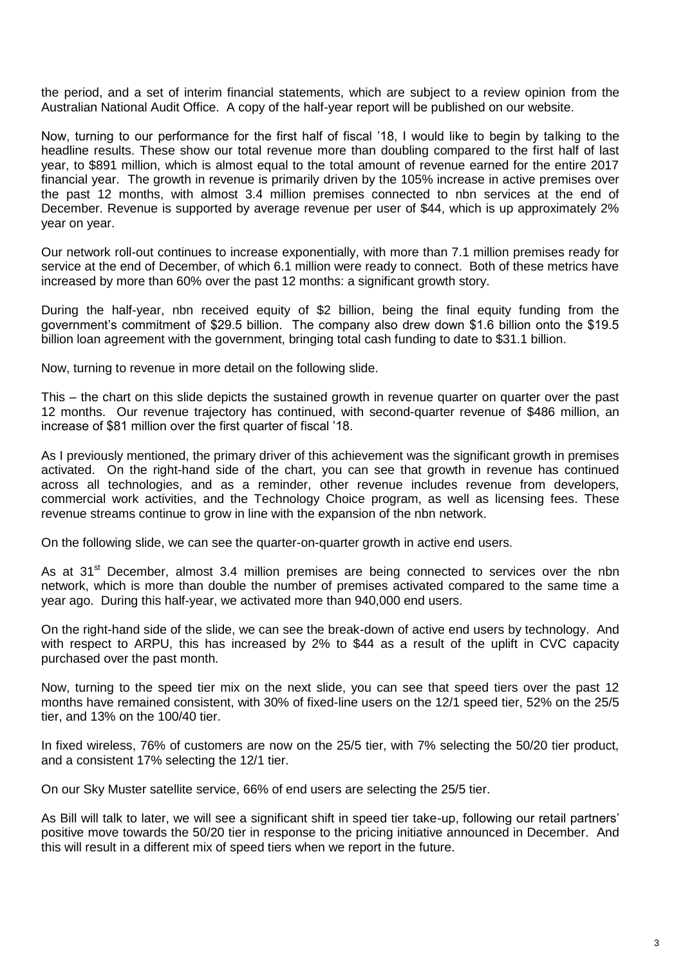the period, and a set of interim financial statements, which are subject to a review opinion from the Australian National Audit Office. A copy of the half-year report will be published on our website.

Now, turning to our performance for the first half of fiscal '18, I would like to begin by talking to the headline results. These show our total revenue more than doubling compared to the first half of last year, to \$891 million, which is almost equal to the total amount of revenue earned for the entire 2017 financial year. The growth in revenue is primarily driven by the 105% increase in active premises over the past 12 months, with almost 3.4 million premises connected to nbn services at the end of December. Revenue is supported by average revenue per user of \$44, which is up approximately 2% year on year.

Our network roll-out continues to increase exponentially, with more than 7.1 million premises ready for service at the end of December, of which 6.1 million were ready to connect. Both of these metrics have increased by more than 60% over the past 12 months: a significant growth story.

During the half-year, nbn received equity of \$2 billion, being the final equity funding from the government's commitment of \$29.5 billion. The company also drew down \$1.6 billion onto the \$19.5 billion loan agreement with the government, bringing total cash funding to date to \$31.1 billion.

Now, turning to revenue in more detail on the following slide.

This – the chart on this slide depicts the sustained growth in revenue quarter on quarter over the past 12 months. Our revenue trajectory has continued, with second-quarter revenue of \$486 million, an increase of \$81 million over the first quarter of fiscal '18.

As I previously mentioned, the primary driver of this achievement was the significant growth in premises activated. On the right-hand side of the chart, you can see that growth in revenue has continued across all technologies, and as a reminder, other revenue includes revenue from developers, commercial work activities, and the Technology Choice program, as well as licensing fees. These revenue streams continue to grow in line with the expansion of the nbn network.

On the following slide, we can see the quarter-on-quarter growth in active end users.

As at 31<sup>st</sup> December, almost 3.4 million premises are being connected to services over the nbn network, which is more than double the number of premises activated compared to the same time a year ago. During this half-year, we activated more than 940,000 end users.

On the right-hand side of the slide, we can see the break-down of active end users by technology. And with respect to ARPU, this has increased by 2% to \$44 as a result of the uplift in CVC capacity purchased over the past month.

Now, turning to the speed tier mix on the next slide, you can see that speed tiers over the past 12 months have remained consistent, with 30% of fixed-line users on the 12/1 speed tier, 52% on the 25/5 tier, and 13% on the 100/40 tier.

In fixed wireless, 76% of customers are now on the 25/5 tier, with 7% selecting the 50/20 tier product, and a consistent 17% selecting the 12/1 tier.

On our Sky Muster satellite service, 66% of end users are selecting the 25/5 tier.

As Bill will talk to later, we will see a significant shift in speed tier take-up, following our retail partners' positive move towards the 50/20 tier in response to the pricing initiative announced in December. And this will result in a different mix of speed tiers when we report in the future.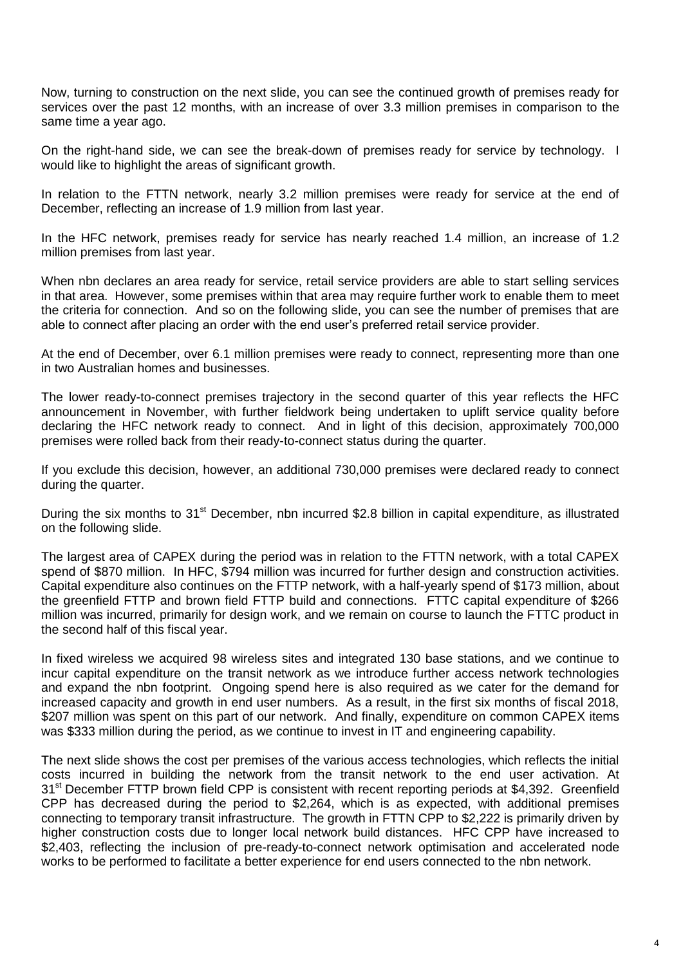Now, turning to construction on the next slide, you can see the continued growth of premises ready for services over the past 12 months, with an increase of over 3.3 million premises in comparison to the same time a year ago.

On the right-hand side, we can see the break-down of premises ready for service by technology. I would like to highlight the areas of significant growth.

In relation to the FTTN network, nearly 3.2 million premises were ready for service at the end of December, reflecting an increase of 1.9 million from last year.

In the HFC network, premises ready for service has nearly reached 1.4 million, an increase of 1.2 million premises from last year.

When nbn declares an area ready for service, retail service providers are able to start selling services in that area. However, some premises within that area may require further work to enable them to meet the criteria for connection. And so on the following slide, you can see the number of premises that are able to connect after placing an order with the end user's preferred retail service provider.

At the end of December, over 6.1 million premises were ready to connect, representing more than one in two Australian homes and businesses.

The lower ready-to-connect premises trajectory in the second quarter of this year reflects the HFC announcement in November, with further fieldwork being undertaken to uplift service quality before declaring the HFC network ready to connect. And in light of this decision, approximately 700,000 premises were rolled back from their ready-to-connect status during the quarter.

If you exclude this decision, however, an additional 730,000 premises were declared ready to connect during the quarter.

During the six months to 31<sup>st</sup> December, nbn incurred \$2.8 billion in capital expenditure, as illustrated on the following slide.

The largest area of CAPEX during the period was in relation to the FTTN network, with a total CAPEX spend of \$870 million. In HFC, \$794 million was incurred for further design and construction activities. Capital expenditure also continues on the FTTP network, with a half-yearly spend of \$173 million, about the greenfield FTTP and brown field FTTP build and connections. FTTC capital expenditure of \$266 million was incurred, primarily for design work, and we remain on course to launch the FTTC product in the second half of this fiscal year.

In fixed wireless we acquired 98 wireless sites and integrated 130 base stations, and we continue to incur capital expenditure on the transit network as we introduce further access network technologies and expand the nbn footprint. Ongoing spend here is also required as we cater for the demand for increased capacity and growth in end user numbers. As a result, in the first six months of fiscal 2018, \$207 million was spent on this part of our network. And finally, expenditure on common CAPEX items was \$333 million during the period, as we continue to invest in IT and engineering capability.

The next slide shows the cost per premises of the various access technologies, which reflects the initial costs incurred in building the network from the transit network to the end user activation. At 31<sup>st</sup> December FTTP brown field CPP is consistent with recent reporting periods at \$4,392. Greenfield CPP has decreased during the period to \$2,264, which is as expected, with additional premises connecting to temporary transit infrastructure. The growth in FTTN CPP to \$2,222 is primarily driven by higher construction costs due to longer local network build distances. HFC CPP have increased to \$2,403, reflecting the inclusion of pre-ready-to-connect network optimisation and accelerated node works to be performed to facilitate a better experience for end users connected to the nbn network.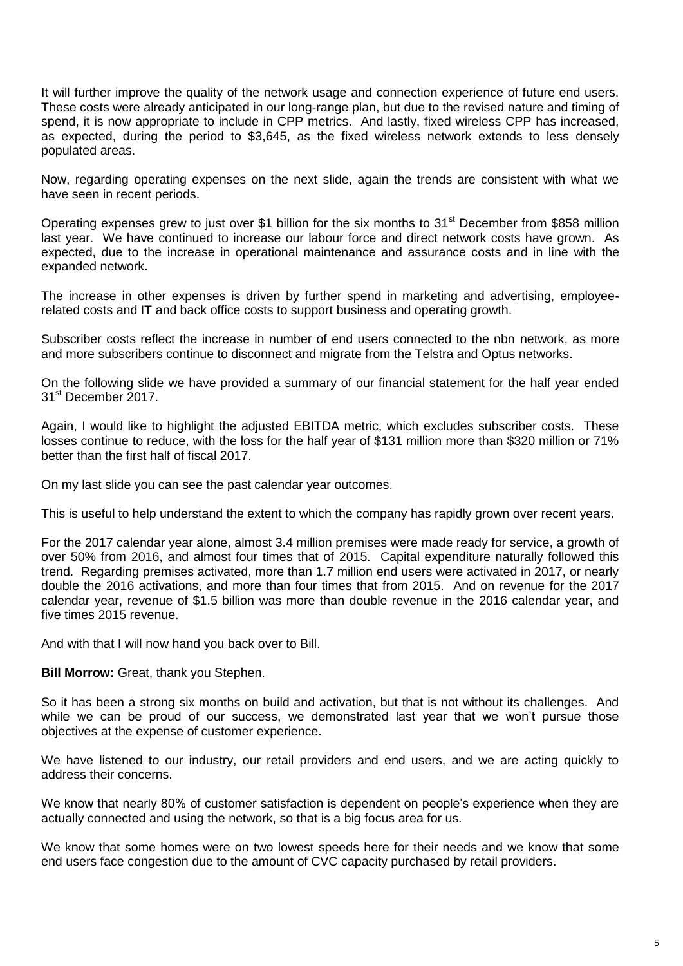It will further improve the quality of the network usage and connection experience of future end users. These costs were already anticipated in our long-range plan, but due to the revised nature and timing of spend, it is now appropriate to include in CPP metrics. And lastly, fixed wireless CPP has increased, as expected, during the period to \$3,645, as the fixed wireless network extends to less densely populated areas.

Now, regarding operating expenses on the next slide, again the trends are consistent with what we have seen in recent periods.

Operating expenses grew to just over \$1 billion for the six months to 31<sup>st</sup> December from \$858 million last year. We have continued to increase our labour force and direct network costs have grown. As expected, due to the increase in operational maintenance and assurance costs and in line with the expanded network.

The increase in other expenses is driven by further spend in marketing and advertising, employeerelated costs and IT and back office costs to support business and operating growth.

Subscriber costs reflect the increase in number of end users connected to the nbn network, as more and more subscribers continue to disconnect and migrate from the Telstra and Optus networks.

On the following slide we have provided a summary of our financial statement for the half year ended 31<sup>st</sup> December 2017.

Again, I would like to highlight the adjusted EBITDA metric, which excludes subscriber costs. These losses continue to reduce, with the loss for the half year of \$131 million more than \$320 million or 71% better than the first half of fiscal 2017.

On my last slide you can see the past calendar year outcomes.

This is useful to help understand the extent to which the company has rapidly grown over recent years.

For the 2017 calendar year alone, almost 3.4 million premises were made ready for service, a growth of over 50% from 2016, and almost four times that of 2015. Capital expenditure naturally followed this trend. Regarding premises activated, more than 1.7 million end users were activated in 2017, or nearly double the 2016 activations, and more than four times that from 2015. And on revenue for the 2017 calendar year, revenue of \$1.5 billion was more than double revenue in the 2016 calendar year, and five times 2015 revenue.

And with that I will now hand you back over to Bill.

**Bill Morrow:** Great, thank you Stephen.

So it has been a strong six months on build and activation, but that is not without its challenges. And while we can be proud of our success, we demonstrated last year that we won't pursue those objectives at the expense of customer experience.

We have listened to our industry, our retail providers and end users, and we are acting quickly to address their concerns.

We know that nearly 80% of customer satisfaction is dependent on people's experience when they are actually connected and using the network, so that is a big focus area for us.

We know that some homes were on two lowest speeds here for their needs and we know that some end users face congestion due to the amount of CVC capacity purchased by retail providers.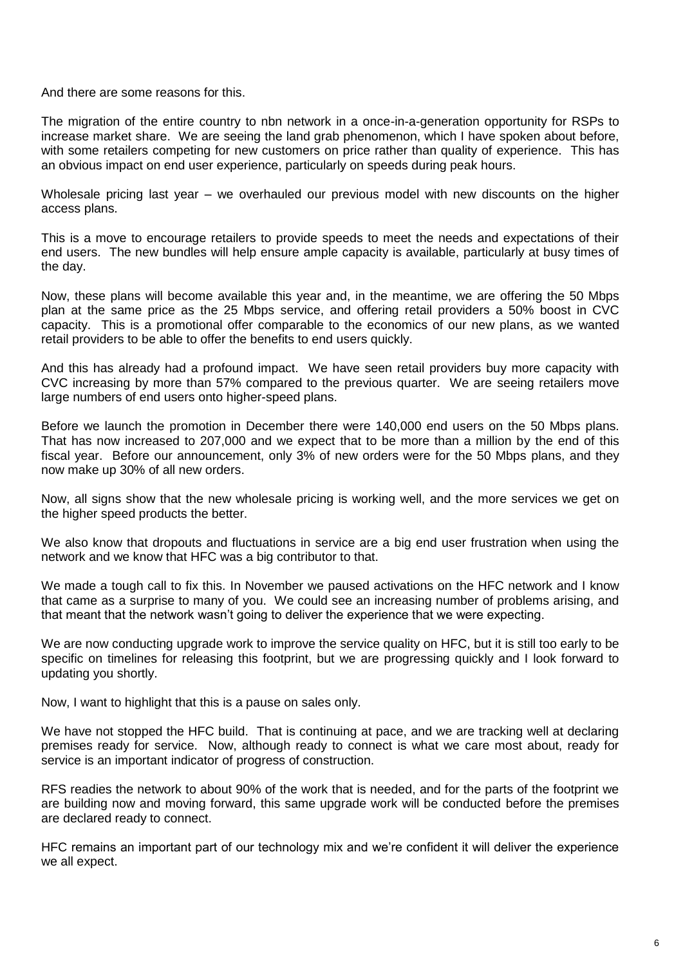And there are some reasons for this.

The migration of the entire country to nbn network in a once-in-a-generation opportunity for RSPs to increase market share. We are seeing the land grab phenomenon, which I have spoken about before, with some retailers competing for new customers on price rather than quality of experience. This has an obvious impact on end user experience, particularly on speeds during peak hours.

Wholesale pricing last year – we overhauled our previous model with new discounts on the higher access plans.

This is a move to encourage retailers to provide speeds to meet the needs and expectations of their end users. The new bundles will help ensure ample capacity is available, particularly at busy times of the day.

Now, these plans will become available this year and, in the meantime, we are offering the 50 Mbps plan at the same price as the 25 Mbps service, and offering retail providers a 50% boost in CVC capacity. This is a promotional offer comparable to the economics of our new plans, as we wanted retail providers to be able to offer the benefits to end users quickly.

And this has already had a profound impact. We have seen retail providers buy more capacity with CVC increasing by more than 57% compared to the previous quarter. We are seeing retailers move large numbers of end users onto higher-speed plans.

Before we launch the promotion in December there were 140,000 end users on the 50 Mbps plans. That has now increased to 207,000 and we expect that to be more than a million by the end of this fiscal year. Before our announcement, only 3% of new orders were for the 50 Mbps plans, and they now make up 30% of all new orders.

Now, all signs show that the new wholesale pricing is working well, and the more services we get on the higher speed products the better.

We also know that dropouts and fluctuations in service are a big end user frustration when using the network and we know that HFC was a big contributor to that.

We made a tough call to fix this. In November we paused activations on the HFC network and I know that came as a surprise to many of you. We could see an increasing number of problems arising, and that meant that the network wasn't going to deliver the experience that we were expecting.

We are now conducting upgrade work to improve the service quality on HFC, but it is still too early to be specific on timelines for releasing this footprint, but we are progressing quickly and I look forward to updating you shortly.

Now, I want to highlight that this is a pause on sales only.

We have not stopped the HFC build. That is continuing at pace, and we are tracking well at declaring premises ready for service. Now, although ready to connect is what we care most about, ready for service is an important indicator of progress of construction.

RFS readies the network to about 90% of the work that is needed, and for the parts of the footprint we are building now and moving forward, this same upgrade work will be conducted before the premises are declared ready to connect.

HFC remains an important part of our technology mix and we're confident it will deliver the experience we all expect.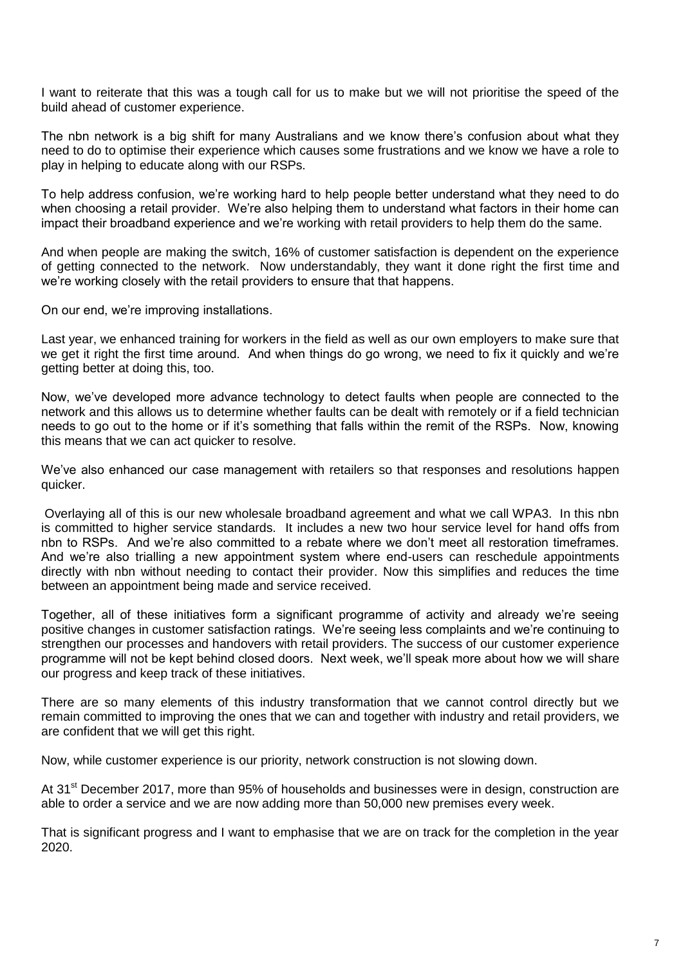I want to reiterate that this was a tough call for us to make but we will not prioritise the speed of the build ahead of customer experience.

The nbn network is a big shift for many Australians and we know there's confusion about what they need to do to optimise their experience which causes some frustrations and we know we have a role to play in helping to educate along with our RSPs.

To help address confusion, we're working hard to help people better understand what they need to do when choosing a retail provider. We're also helping them to understand what factors in their home can impact their broadband experience and we're working with retail providers to help them do the same.

And when people are making the switch, 16% of customer satisfaction is dependent on the experience of getting connected to the network. Now understandably, they want it done right the first time and we're working closely with the retail providers to ensure that that happens.

On our end, we're improving installations.

Last year, we enhanced training for workers in the field as well as our own employers to make sure that we get it right the first time around. And when things do go wrong, we need to fix it quickly and we're getting better at doing this, too.

Now, we've developed more advance technology to detect faults when people are connected to the network and this allows us to determine whether faults can be dealt with remotely or if a field technician needs to go out to the home or if it's something that falls within the remit of the RSPs. Now, knowing this means that we can act quicker to resolve.

We've also enhanced our case management with retailers so that responses and resolutions happen quicker.

Overlaying all of this is our new wholesale broadband agreement and what we call WPA3. In this nbn is committed to higher service standards. It includes a new two hour service level for hand offs from nbn to RSPs. And we're also committed to a rebate where we don't meet all restoration timeframes. And we're also trialling a new appointment system where end-users can reschedule appointments directly with nbn without needing to contact their provider. Now this simplifies and reduces the time between an appointment being made and service received.

Together, all of these initiatives form a significant programme of activity and already we're seeing positive changes in customer satisfaction ratings. We're seeing less complaints and we're continuing to strengthen our processes and handovers with retail providers. The success of our customer experience programme will not be kept behind closed doors. Next week, we'll speak more about how we will share our progress and keep track of these initiatives.

There are so many elements of this industry transformation that we cannot control directly but we remain committed to improving the ones that we can and together with industry and retail providers, we are confident that we will get this right.

Now, while customer experience is our priority, network construction is not slowing down.

At 31<sup>st</sup> December 2017, more than 95% of households and businesses were in design, construction are able to order a service and we are now adding more than 50,000 new premises every week.

That is significant progress and I want to emphasise that we are on track for the completion in the year 2020.